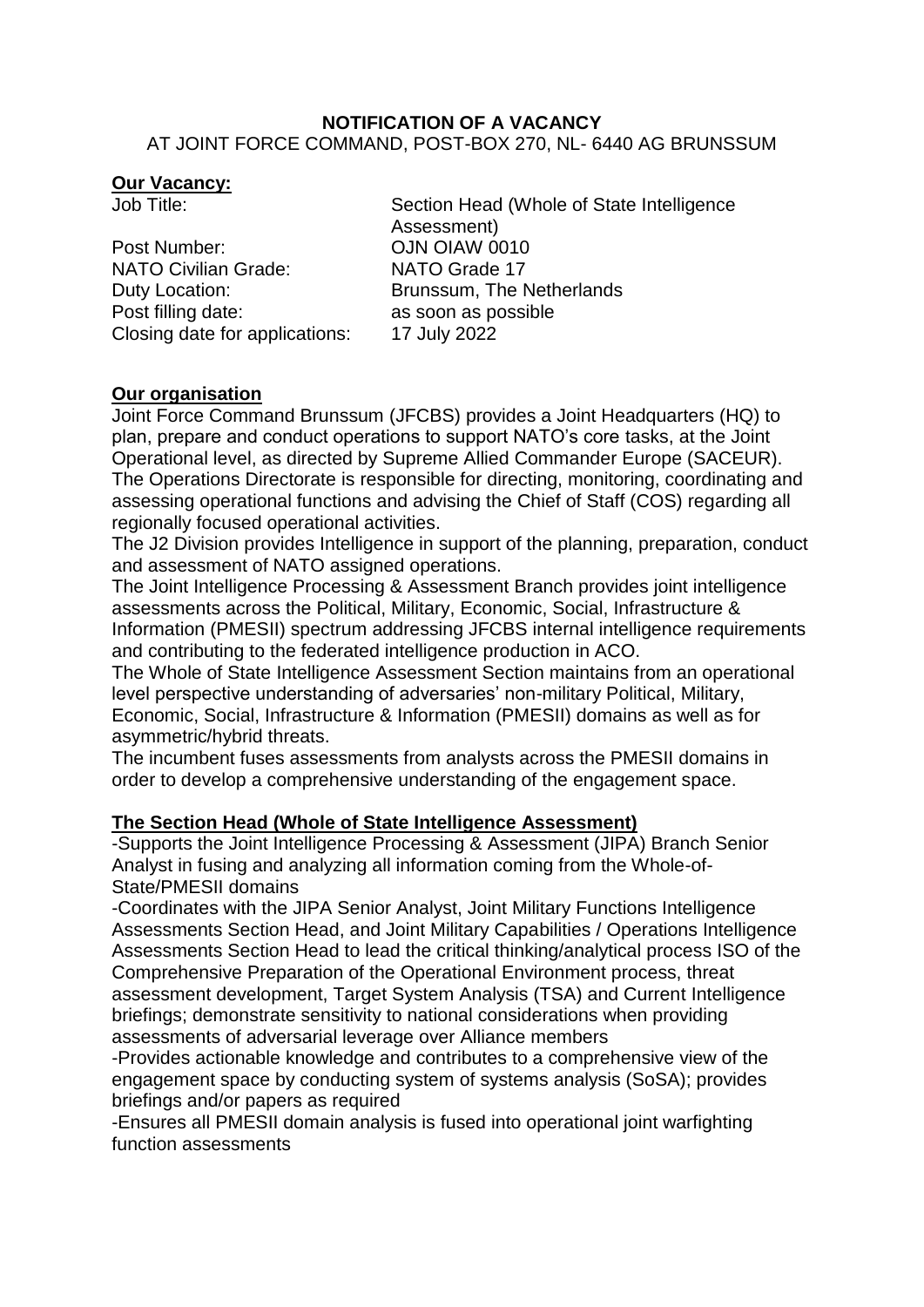#### **NOTIFICATION OF A VACANCY** AT JOINT FORCE COMMAND, POST-BOX 270, NL- 6440 AG BRUNSSUM

#### **Our Vacancy:**

Post Number: CJN OIAW 0010 NATO Civilian Grade: NATO Grade 17 Duty Location: Brunssum, The Netherlands Post filling date: as soon as possible Closing date for applications: 17 July 2022

Job Title: Section Head (Whole of State Intelligence Assessment)

# **Our organisation**

Joint Force Command Brunssum (JFCBS) provides a Joint Headquarters (HQ) to plan, prepare and conduct operations to support NATO's core tasks, at the Joint Operational level, as directed by Supreme Allied Commander Europe (SACEUR). The Operations Directorate is responsible for directing, monitoring, coordinating and assessing operational functions and advising the Chief of Staff (COS) regarding all regionally focused operational activities.

The J2 Division provides Intelligence in support of the planning, preparation, conduct and assessment of NATO assigned operations.

The Joint Intelligence Processing & Assessment Branch provides joint intelligence assessments across the Political, Military, Economic, Social, Infrastructure & Information (PMESII) spectrum addressing JFCBS internal intelligence requirements and contributing to the federated intelligence production in ACO.

The Whole of State Intelligence Assessment Section maintains from an operational level perspective understanding of adversaries' non-military Political, Military, Economic, Social, Infrastructure & Information (PMESII) domains as well as for asymmetric/hybrid threats.

The incumbent fuses assessments from analysts across the PMESII domains in order to develop a comprehensive understanding of the engagement space.

# **The Section Head (Whole of State Intelligence Assessment)**

-Supports the Joint Intelligence Processing & Assessment (JIPA) Branch Senior Analyst in fusing and analyzing all information coming from the Whole-of-State/PMESII domains

-Coordinates with the JIPA Senior Analyst, Joint Military Functions Intelligence Assessments Section Head, and Joint Military Capabilities / Operations Intelligence Assessments Section Head to lead the critical thinking/analytical process ISO of the Comprehensive Preparation of the Operational Environment process, threat assessment development, Target System Analysis (TSA) and Current Intelligence briefings; demonstrate sensitivity to national considerations when providing assessments of adversarial leverage over Alliance members

-Provides actionable knowledge and contributes to a comprehensive view of the engagement space by conducting system of systems analysis (SoSA); provides briefings and/or papers as required

-Ensures all PMESII domain analysis is fused into operational joint warfighting function assessments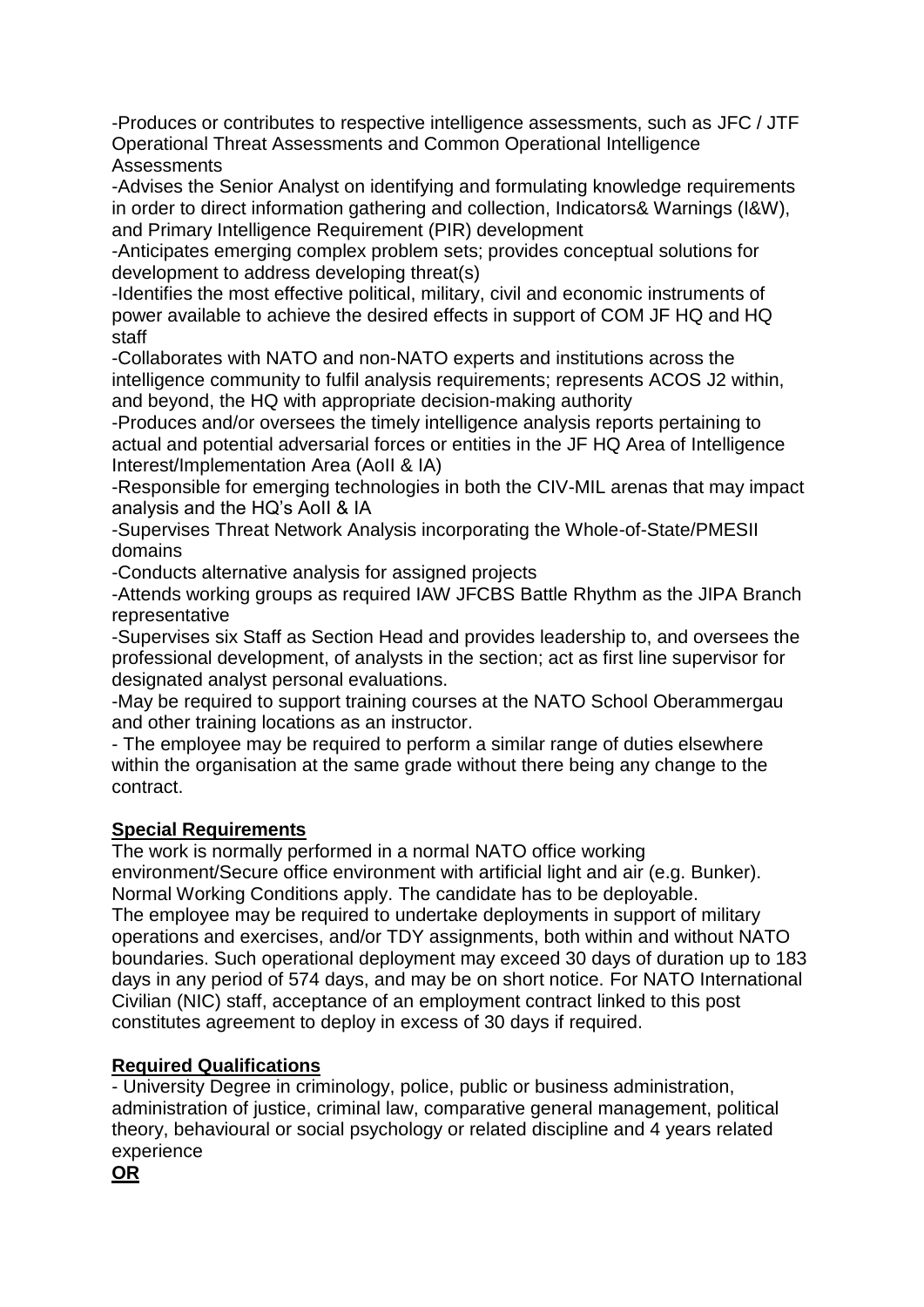-Produces or contributes to respective intelligence assessments, such as JFC / JTF Operational Threat Assessments and Common Operational Intelligence **Assessments** 

-Advises the Senior Analyst on identifying and formulating knowledge requirements in order to direct information gathering and collection, Indicators& Warnings (I&W), and Primary Intelligence Requirement (PIR) development

-Anticipates emerging complex problem sets; provides conceptual solutions for development to address developing threat(s)

-Identifies the most effective political, military, civil and economic instruments of power available to achieve the desired effects in support of COM JF HQ and HQ staff

-Collaborates with NATO and non-NATO experts and institutions across the intelligence community to fulfil analysis requirements; represents ACOS J2 within, and beyond, the HQ with appropriate decision-making authority

-Produces and/or oversees the timely intelligence analysis reports pertaining to actual and potential adversarial forces or entities in the JF HQ Area of Intelligence Interest/Implementation Area (AoII & IA)

-Responsible for emerging technologies in both the CIV-MIL arenas that may impact analysis and the HQ's AoII & IA

-Supervises Threat Network Analysis incorporating the Whole-of-State/PMESII domains

-Conducts alternative analysis for assigned projects

-Attends working groups as required IAW JFCBS Battle Rhythm as the JIPA Branch representative

-Supervises six Staff as Section Head and provides leadership to, and oversees the professional development, of analysts in the section; act as first line supervisor for designated analyst personal evaluations.

-May be required to support training courses at the NATO School Oberammergau and other training locations as an instructor.

- The employee may be required to perform a similar range of duties elsewhere within the organisation at the same grade without there being any change to the contract.

# **Special Requirements**

The work is normally performed in a normal NATO office working environment/Secure office environment with artificial light and air (e.g. Bunker). Normal Working Conditions apply. The candidate has to be deployable. The employee may be required to undertake deployments in support of military operations and exercises, and/or TDY assignments, both within and without NATO boundaries. Such operational deployment may exceed 30 days of duration up to 183 days in any period of 574 days, and may be on short notice. For NATO International Civilian (NIC) staff, acceptance of an employment contract linked to this post constitutes agreement to deploy in excess of 30 days if required.

# **Required Qualifications**

- University Degree in criminology, police, public or business administration, administration of justice, criminal law, comparative general management, political theory, behavioural or social psychology or related discipline and 4 years related experience

**OR**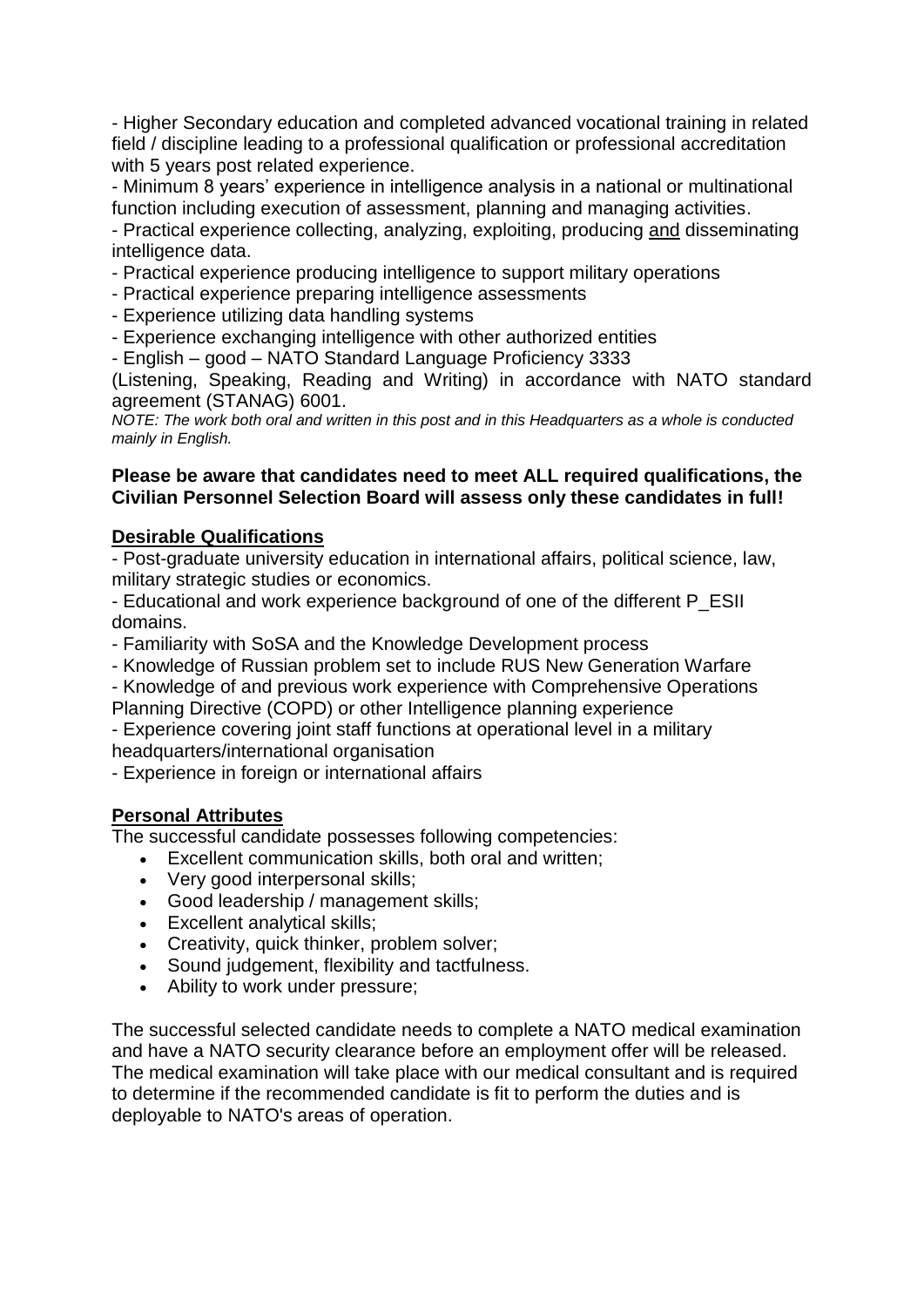- Higher Secondary education and completed advanced vocational training in related field / discipline leading to a professional qualification or professional accreditation with 5 years post related experience.

- Minimum 8 years' experience in intelligence analysis in a national or multinational function including execution of assessment, planning and managing activities.

- Practical experience collecting, analyzing, exploiting, producing and disseminating intelligence data.

- Practical experience producing intelligence to support military operations
- Practical experience preparing intelligence assessments
- Experience utilizing data handling systems
- Experience exchanging intelligence with other authorized entities
- English good NATO Standard Language Proficiency 3333

(Listening, Speaking, Reading and Writing) in accordance with NATO standard agreement (STANAG) 6001.

*NOTE: The work both oral and written in this post and in this Headquarters as a whole is conducted mainly in English.*

#### **Please be aware that candidates need to meet ALL required qualifications, the Civilian Personnel Selection Board will assess only these candidates in full!**

#### **Desirable Qualifications**

- Post-graduate university education in international affairs, political science, law, military strategic studies or economics.

- Educational and work experience background of one of the different P\_ESII domains.

- Familiarity with SoSA and the Knowledge Development process
- Knowledge of Russian problem set to include RUS New Generation Warfare

- Knowledge of and previous work experience with Comprehensive Operations Planning Directive (COPD) or other Intelligence planning experience

- Experience covering joint staff functions at operational level in a military headquarters/international organisation

- Experience in foreign or international affairs

# **Personal Attributes**

The successful candidate possesses following competencies:

- Excellent communication skills, both oral and written;
- Very good interpersonal skills:
- Good leadership / management skills;
- Excellent analytical skills;
- Creativity, quick thinker, problem solver:
- Sound judgement, flexibility and tactfulness.
- Ability to work under pressure;

The successful selected candidate needs to complete a NATO medical examination and have a NATO security clearance before an employment offer will be released. The medical examination will take place with our medical consultant and is required to determine if the recommended candidate is fit to perform the duties and is deployable to NATO's areas of operation.